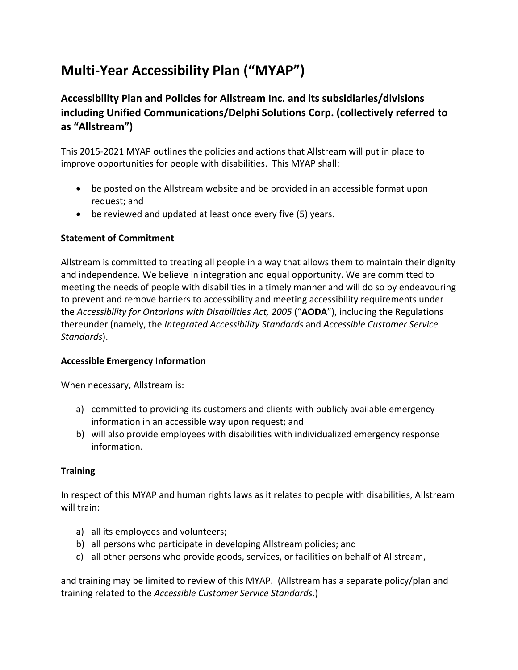# **Multi‐Year Accessibility Plan ("MYAP")**

# **Accessibility Plan and Policies for Allstream Inc. and its subsidiaries/divisions including Unified Communications/Delphi Solutions Corp. (collectively referred to as "Allstream")**

This 2015‐2021 MYAP outlines the policies and actions that Allstream will put in place to improve opportunities for people with disabilities. This MYAP shall:

- be posted on the Allstream website and be provided in an accessible format upon request; and
- be reviewed and updated at least once every five (5) years.

# **Statement of Commitment**

Allstream is committed to treating all people in a way that allows them to maintain their dignity and independence. We believe in integration and equal opportunity. We are committed to meeting the needs of people with disabilities in a timely manner and will do so by endeavouring to prevent and remove barriers to accessibility and meeting accessibility requirements under the *Accessibility for Ontarians with Disabilities Act, 2005* ("**AODA**"), including the Regulations thereunder (namely, the *Integrated Accessibility Standards* and *Accessible Customer Service Standards*).

#### **Accessible Emergency Information**

When necessary, Allstream is:

- a) committed to providing its customers and clients with publicly available emergency information in an accessible way upon request; and
- b) will also provide employees with disabilities with individualized emergency response information.

#### **Training**

In respect of this MYAP and human rights laws as it relates to people with disabilities, Allstream will train:

- a) all its employees and volunteers;
- b) all persons who participate in developing Allstream policies; and
- c) all other persons who provide goods, services, or facilities on behalf of Allstream,

and training may be limited to review of this MYAP. (Allstream has a separate policy/plan and training related to the *Accessible Customer Service Standards*.)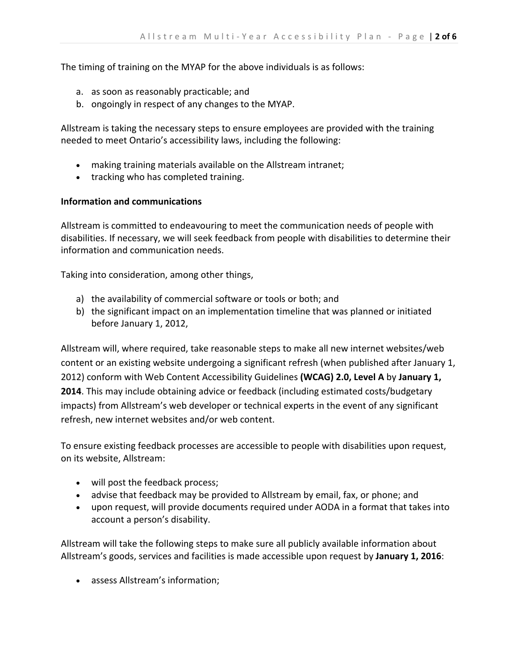The timing of training on the MYAP for the above individuals is as follows:

- a. as soon as reasonably practicable; and
- b. ongoingly in respect of any changes to the MYAP.

Allstream is taking the necessary steps to ensure employees are provided with the training needed to meet Ontario's accessibility laws, including the following:

- making training materials available on the Allstream intranet;
- tracking who has completed training.

#### **Information and communications**

Allstream is committed to endeavouring to meet the communication needs of people with disabilities. If necessary, we will seek feedback from people with disabilities to determine their information and communication needs.

Taking into consideration, among other things,

- a) the availability of commercial software or tools or both; and
- b) the significant impact on an implementation timeline that was planned or initiated before January 1, 2012,

Allstream will, where required, take reasonable steps to make all new internet websites/web content or an existing website undergoing a significant refresh (when published after January 1, 2012) conform with Web Content Accessibility Guidelines **(WCAG) 2.0, Level A** by **January 1, 2014**. This may include obtaining advice or feedback (including estimated costs/budgetary impacts) from Allstream's web developer or technical experts in the event of any significant refresh, new internet websites and/or web content.

To ensure existing feedback processes are accessible to people with disabilities upon request, on its website, Allstream:

- will post the feedback process;
- advise that feedback may be provided to Allstream by email, fax, or phone; and
- upon request, will provide documents required under AODA in a format that takes into account a person's disability.

Allstream will take the following steps to make sure all publicly available information about Allstream's goods, services and facilities is made accessible upon request by **January 1, 2016**:

assess Allstream's information;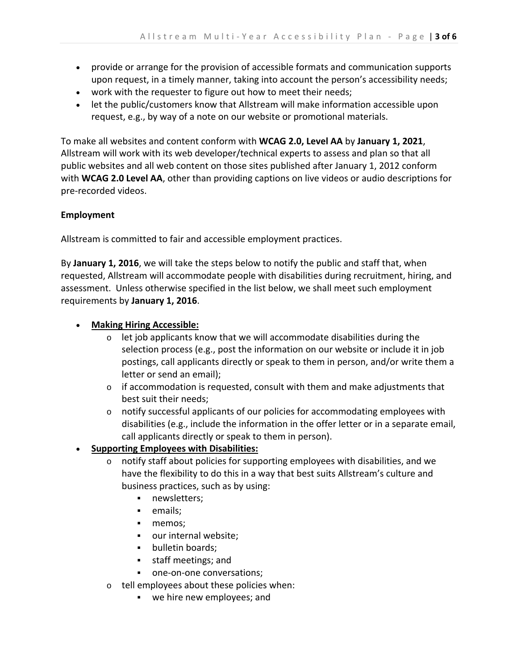- provide or arrange for the provision of accessible formats and communication supports upon request, in a timely manner, taking into account the person's accessibility needs;
- work with the requester to figure out how to meet their needs;
- let the public/customers know that Allstream will make information accessible upon request, e.g., by way of a note on our website or promotional materials.

To make all websites and content conform with **WCAG 2.0, Level AA** by **January 1, 2021**, Allstream will work with its web developer/technical experts to assess and plan so that all public websites and all web content on those sites published after January 1, 2012 conform with **WCAG 2.0 Level AA**, other than providing captions on live videos or audio descriptions for pre‐recorded videos.

#### **Employment**

Allstream is committed to fair and accessible employment practices.

By **January 1, 2016**, we will take the steps below to notify the public and staff that, when requested, Allstream will accommodate people with disabilities during recruitment, hiring, and assessment. Unless otherwise specified in the list below, we shall meet such employment requirements by **January 1, 2016**.

# **Making Hiring Accessible:**

- o let job applicants know that we will accommodate disabilities during the selection process (e.g., post the information on our website or include it in job postings, call applicants directly or speak to them in person, and/or write them a letter or send an email);
- $\circ$  if accommodation is requested, consult with them and make adjustments that best suit their needs;
- $\circ$  notify successful applicants of our policies for accommodating employees with disabilities (e.g., include the information in the offer letter or in a separate email, call applicants directly or speak to them in person).

# **Supporting Employees with Disabilities:**

- $\circ$  notify staff about policies for supporting employees with disabilities, and we have the flexibility to do this in a way that best suits Allstream's culture and business practices, such as by using:
	- **newsletters;**
	- **emails**;
	- memos;
	- our internal website;
	- bulletin boards;
	- **staff meetings; and**
	- one-on-one conversations;
- o tell employees about these policies when:
	- we hire new employees; and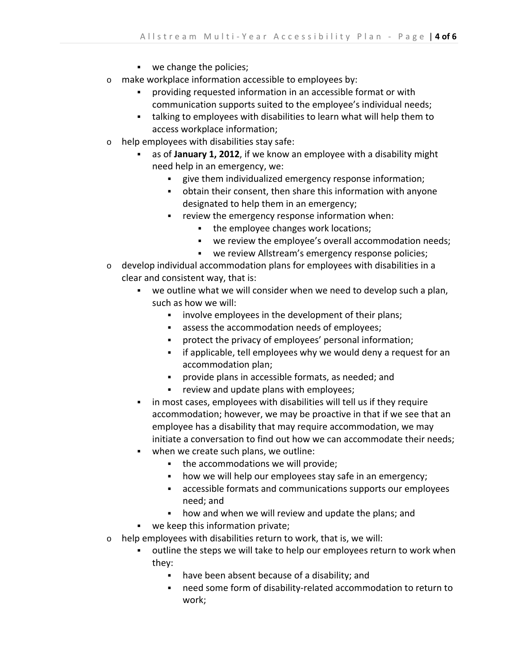- **we change the policies;**
- o make workplace information accessible to employees by:
	- providing requested information in an accessible format or with communication supports suited to the employee's individual needs;
	- talking to employees with disabilities to learn what will help them to access workplace information;
- o help employees with disabilities stay safe:
	- as of **January 1, 2012**, if we know an employee with a disability might need help in an emergency, we:
		- give them individualized emergency response information;
		- obtain their consent, then share this information with anyone designated to help them in an emergency;
		- **•** review the emergency response information when:
			- the employee changes work locations;
			- we review the employee's overall accommodation needs;
			- we review Allstream's emergency response policies;
- $\circ$  develop individual accommodation plans for employees with disabilities in a clear and consistent way, that is:
	- we outline what we will consider when we need to develop such a plan, such as how we will:
		- **EXED** involve employees in the development of their plans;
		- assess the accommodation needs of employees;
		- protect the privacy of employees' personal information;
		- **Fig.** if applicable, tell employees why we would deny a request for an accommodation plan;
		- provide plans in accessible formats, as needed; and
		- **Fig.** review and update plans with employees;
	- in most cases, employees with disabilities will tell us if they require accommodation; however, we may be proactive in that if we see that an employee has a disability that may require accommodation, we may initiate a conversation to find out how we can accommodate their needs;
	- **•** when we create such plans, we outline:
		- the accommodations we will provide;
		- how we will help our employees stay safe in an emergency;
		- accessible formats and communications supports our employees need; and
		- how and when we will review and update the plans; and
	- we keep this information private;
- $\circ$  help employees with disabilities return to work, that is, we will:
	- outline the steps we will take to help our employees return to work when they:
		- have been absent because of a disability; and
		- need some form of disability-related accommodation to return to work;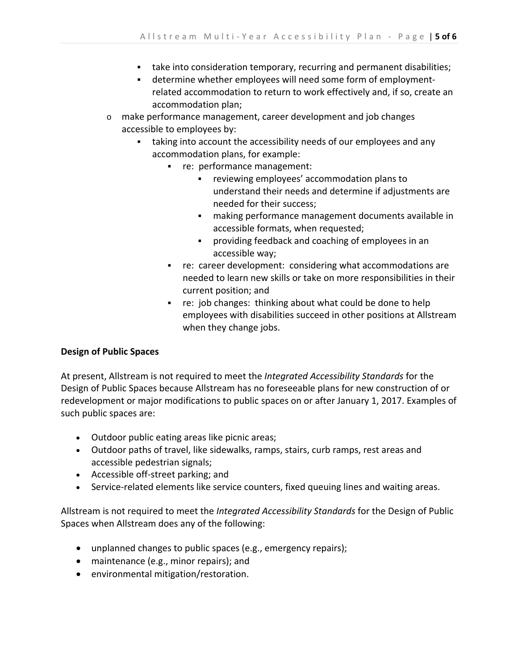- take into consideration temporary, recurring and permanent disabilities;
- determine whether employees will need some form of employmentrelated accommodation to return to work effectively and, if so, create an accommodation plan;
- o make performance management, career development and job changes accessible to employees by:
	- taking into account the accessibility needs of our employees and any accommodation plans, for example:
		- re: performance management:
			- reviewing employees' accommodation plans to understand their needs and determine if adjustments are needed for their success;
			- making performance management documents available in accessible formats, when requested;
			- providing feedback and coaching of employees in an accessible way;
		- re: career development: considering what accommodations are needed to learn new skills or take on more responsibilities in their current position; and
		- $r$  re: job changes: thinking about what could be done to help employees with disabilities succeed in other positions at Allstream when they change jobs.

#### **Design of Public Spaces**

At present, Allstream is not required to meet the *Integrated Accessibility Standards* for the Design of Public Spaces because Allstream has no foreseeable plans for new construction of or redevelopment or major modifications to public spaces on or after January 1, 2017. Examples of such public spaces are:

- Outdoor public eating areas like picnic areas;
- Outdoor paths of travel, like sidewalks, ramps, stairs, curb ramps, rest areas and accessible pedestrian signals;
- Accessible off‐street parking; and
- Service-related elements like service counters, fixed queuing lines and waiting areas.

Allstream is not required to meet the *Integrated Accessibility Standards* for the Design of Public Spaces when Allstream does any of the following:

- unplanned changes to public spaces (e.g., emergency repairs);
- maintenance (e.g., minor repairs); and
- environmental mitigation/restoration.